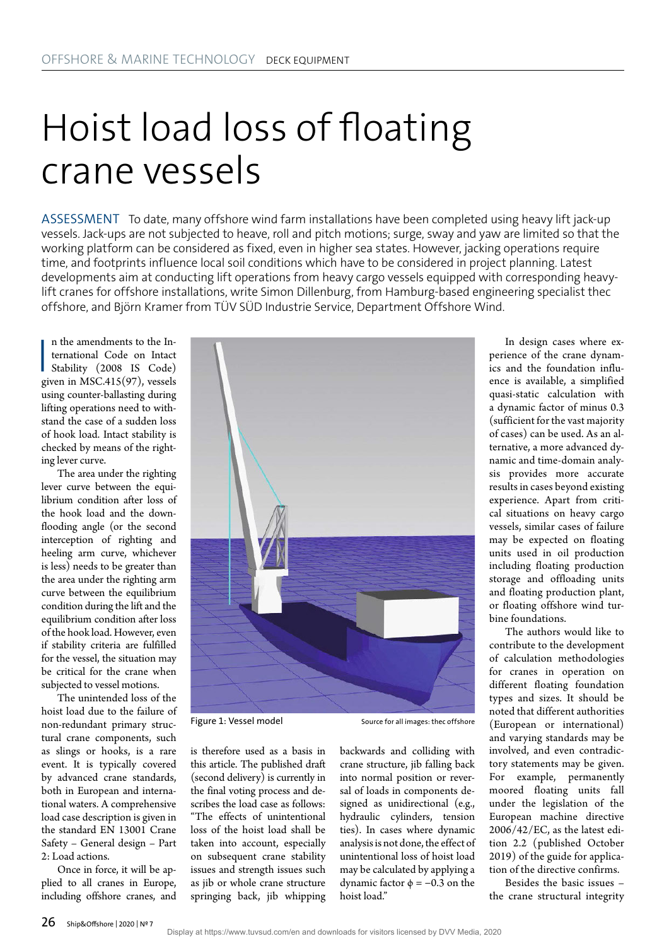## Hoist load loss of floating crane vessels

ASSESSMENT To date, many offshore wind farm installations have been completed using heavy lift jack-up vessels. Jack-ups are not subjected to heave, roll and pitch motions; surge, sway and yaw are limited so that the working platform can be considered as fixed, even in higher sea states. However, jacking operations require time, and footprints influence local soil conditions which have to be considered in project planning. Latest developments aim at conducting lift operations from heavy cargo vessels equipped with corresponding heavylift cranes for offshore installations, write Simon Dillenburg, from Hamburg-based engineering specialist thec offshore, and Björn Kramer from TÜV SÜD Industrie Service, Department Offshore Wind.

n the amendments to the International Code on Intact<br>Stability (2008 IS Code)<br>given in MSC.415(97), vessels n the amendments to the International Code on Intact Stability (2008 IS Code) using counter-ballasting during lifting operations need to withstand the case of a sudden loss of hook load. Intact stability is checked by means of the righting lever curve.

The area under the righting lever curve between the equilibrium condition after loss of the hook load and the downflooding angle (or the second interception of righting and heeling arm curve, whichever is less) needs to be greater than the area under the righting arm curve between the equilibrium condition during the lift and the equilibrium condition after loss of the hook load. However, even if stability criteria are fulfilled for the vessel, the situation may be critical for the crane when subjected to vessel motions.

The unintended loss of the hoist load due to the failure of non-redundant primary structural crane components, such as slings or hooks, is a rare event. It is typically covered by advanced crane standards, both in European and international waters. A comprehensive load case description is given in the standard EN 13001 Crane Safety – General design – Part 2: Load actions.

Once in force, it will be applied to all cranes in Europe, including offshore cranes, and



Figure 1: Vessel model Source for all images: the coffshore

is therefore used as a basis in this article. The published draft (second delivery) is currently in the final voting process and describes the load case as follows: "The effects of unintentional loss of the hoist load shall be taken into account, especially on subsequent crane stability issues and strength issues such as jib or whole crane structure springing back, jib whipping backwards and colliding with crane structure, jib falling back into normal position or reversal of loads in components designed as unidirectional (e.g., hydraulic cylinders, tension ties). In cases where dynamic analysis is not done, the effect of unintentional loss of hoist load may be calculated by applying a dynamic factor  $\phi = -0.3$  on the hoist load"

In design cases where experience of the crane dynamics and the foundation influence is available, a simplified quasi-static calculation with a dynamic factor of minus 0.3 (sufficient for the vast majority of cases) can be used. As an alternative, a more advanced dynamic and time-domain analysis provides more accurate results in cases beyond existing experience. Apart from critical situations on heavy cargo vessels, similar cases of failure may be expected on floating units used in oil production including floating production storage and offloading units and floating production plant, or floating offshore wind turbine foundations.

The authors would like to contribute to the development of calculation methodologies for cranes in operation on different floating foundation types and sizes. It should be noted that different authorities (European or international) and varying standards may be involved, and even contradictory statements may be given. For example, permanently moored floating units fall under the legislation of the European machine directive 2006/42/EC, as the latest edition 2.2 (published October 2019) of the guide for application of the directive confirms.

Besides the basic issues – the crane structural integrity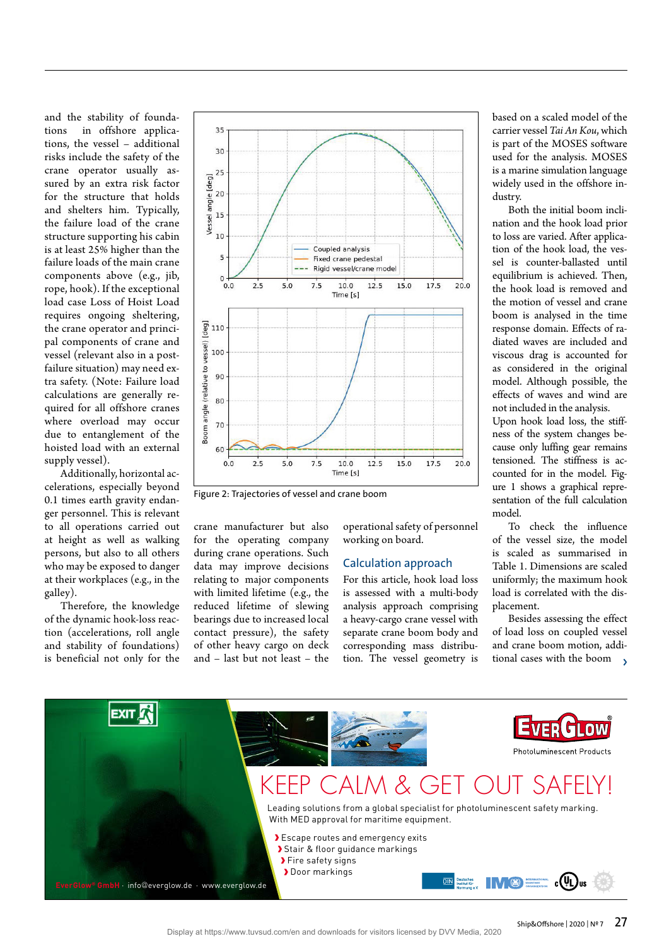and the stability of foundations in offshore applications, the vessel – additional risks include the safety of the crane operator usually assured by an extra risk factor for the structure that holds and shelters him. Typically, the failure load of the crane structure supporting his cabin is at least 25% higher than the failure loads of the main crane components above (e.g., jib, rope, hook). If the exceptional load case Loss of Hoist Load requires ongoing sheltering, the crane operator and principal components of crane and vessel (relevant also in a postfailure situation) may need extra safety. (Note: Failure load calculations are generally required for all offshore cranes where overload may occur due to entanglement of the hoisted load with an external supply vessel).

Additionally, horizontal accelerations, especially beyond 0.1 times earth gravity endanger personnel. This is relevant to all operations carried out at height as well as walking persons, but also to all others who may be exposed to danger at their workplaces (e.g., in the galley).

Therefore, the knowledge of the dynamic hook-loss reaction (accelerations, roll angle and stability of foundations) is beneficial not only for the



Figure 2: Trajectories of vessel and crane boom

crane manufacturer but also for the operating company during crane operations. Such data may improve decisions relating to major components with limited lifetime (e.g., the reduced lifetime of slewing bearings due to increased local contact pressure), the safety of other heavy cargo on deck and – last but not least – the

operational safety of personnel working on board.

## Calculation approach

For this article, hook load loss is assessed with a multi-body analysis approach comprising a heavy-cargo crane vessel with separate crane boom body and corresponding mass distribution. The vessel geometry is based on a scaled model of the carrier vessel *Tai An Kou*, which is part of the MOSES software used for the analysis. MOSES is a marine simulation language widely used in the offshore industry.

Both the initial boom inclination and the hook load prior to loss are varied. After application of the hook load, the vessel is counter-ballasted until equilibrium is achieved. Then, the hook load is removed and the motion of vessel and crane boom is analysed in the time response domain. Effects of radiated waves are included and viscous drag is accounted for as considered in the original model. Although possible, the effects of waves and wind are not included in the analysis.

Upon hook load loss, the stiffness of the system changes because only luffing gear remains tensioned. The stiffness is accounted for in the model. Figure 1 shows a graphical representation of the full calculation model.

To check the influence of the vessel size, the model is scaled as summarised in Table 1. Dimensions are scaled uniformly; the maximum hook load is correlated with the displacement.

Besides assessing the effect of load loss on coupled vessel and crane boom motion, additional cases with the boom >